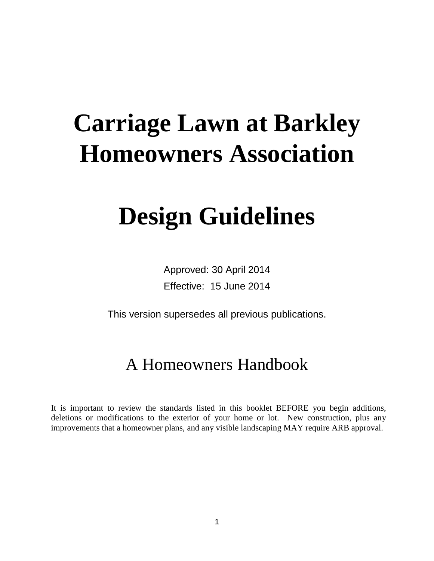# **Carriage Lawn at Barkley Homeowners Association**

# **Design Guidelines**

Approved: 30 April 2014 Effective: 15 June 2014

This version supersedes all previous publications.

## A Homeowners Handbook

It is important to review the standards listed in this booklet BEFORE you begin additions, deletions or modifications to the exterior of your home or lot. New construction, plus any improvements that a homeowner plans, and any visible landscaping MAY require ARB approval.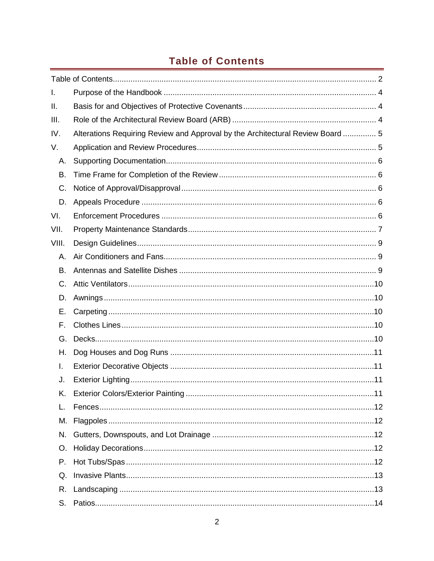## **Table of Contents**

<span id="page-1-0"></span>

| I.          |                                                                                |  |
|-------------|--------------------------------------------------------------------------------|--|
| ΙΙ.         |                                                                                |  |
| III.        |                                                                                |  |
| IV.         | Alterations Requiring Review and Approval by the Architectural Review Board  5 |  |
| V.          |                                                                                |  |
| А.          |                                                                                |  |
| В.          |                                                                                |  |
| C.          |                                                                                |  |
| D.          |                                                                                |  |
| VI.         |                                                                                |  |
| VII.        |                                                                                |  |
| VIII.       |                                                                                |  |
| А.          |                                                                                |  |
| Β.          |                                                                                |  |
| $C_{\cdot}$ |                                                                                |  |
| D.          |                                                                                |  |
| Е.          |                                                                                |  |
| F.          |                                                                                |  |
| G.          |                                                                                |  |
| Н.          |                                                                                |  |
| I.          |                                                                                |  |
| J.          |                                                                                |  |
|             |                                                                                |  |
| L.          |                                                                                |  |
| М.          |                                                                                |  |
| N.          |                                                                                |  |
| O.          |                                                                                |  |
| Ρ.          |                                                                                |  |
| Q.          |                                                                                |  |
| R.          |                                                                                |  |
| S.          |                                                                                |  |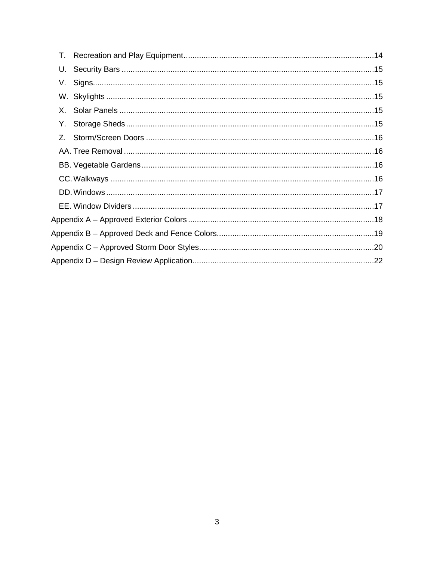| U. |  |
|----|--|
|    |  |
|    |  |
|    |  |
| Y. |  |
| Z. |  |
|    |  |
|    |  |
|    |  |
|    |  |
|    |  |
|    |  |
|    |  |
|    |  |
|    |  |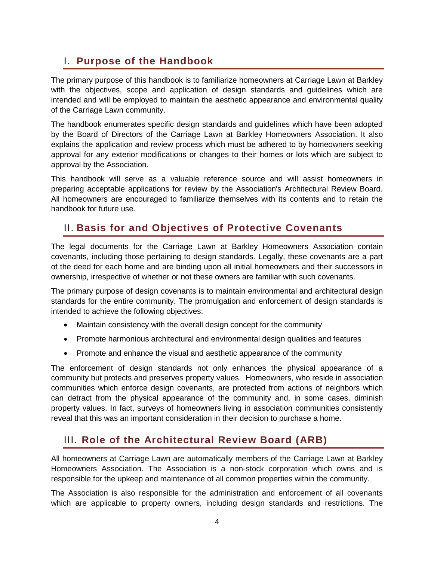## <span id="page-3-0"></span>I. **Purpose of the Handbook**

The primary purpose of this handbook is to familiarize homeowners at Carriage Lawn at Barkley with the objectives, scope and application of design standards and guidelines which are intended and will be employed to maintain the aesthetic appearance and environmental quality of the Carriage Lawn community.

The handbook enumerates specific design standards and guidelines which have been adopted by the Board of Directors of the Carriage Lawn at Barkley Homeowners Association. It also explains the application and review process which must be adhered to by homeowners seeking approval for any exterior modifications or changes to their homes or lots which are subject to approval by the Association.

This handbook will serve as a valuable reference source and will assist homeowners in preparing acceptable applications for review by the Association's Architectural Review Board. All homeowners are encouraged to familiarize themselves with its contents and to retain the handbook for future use.

## <span id="page-3-1"></span>II. **Basis for and Objectives of Protective Covenants**

The legal documents for the Carriage Lawn at Barkley Homeowners Association contain covenants, including those pertaining to design standards. Legally, these covenants are a part of the deed for each home and are binding upon all initial homeowners and their successors in ownership, irrespective of whether or not these owners are familiar with such covenants.

The primary purpose of design covenants is to maintain environmental and architectural design standards for the entire community. The promulgation and enforcement of design standards is intended to achieve the following objectives:

- Maintain consistency with the overall design concept for the community
- Promote harmonious architectural and environmental design qualities and features
- Promote and enhance the visual and aesthetic appearance of the community

The enforcement of design standards not only enhances the physical appearance of a community but protects and preserves property values. Homeowners, who reside in association communities which enforce design covenants, are protected from actions of neighbors which can detract from the physical appearance of the community and, in some cases, diminish property values. In fact, surveys of homeowners living in association communities consistently reveal that this was an important consideration in their decision to purchase a home.

## <span id="page-3-2"></span>III. **Role of the Architectural Review Board (ARB)**

All homeowners at Carriage Lawn are automatically members of the Carriage Lawn at Barkley Homeowners Association. The Association is a non-stock corporation which owns and is responsible for the upkeep and maintenance of all common properties within the community.

The Association is also responsible for the administration and enforcement of all covenants which are applicable to property owners, including design standards and restrictions. The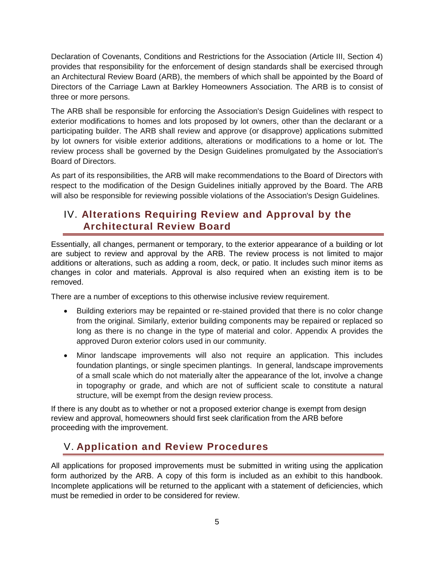Declaration of Covenants, Conditions and Restrictions for the Association (Article III, Section 4) provides that responsibility for the enforcement of design standards shall be exercised through an Architectural Review Board (ARB), the members of which shall be appointed by the Board of Directors of the Carriage Lawn at Barkley Homeowners Association. The ARB is to consist of three or more persons.

The ARB shall be responsible for enforcing the Association's Design Guidelines with respect to exterior modifications to homes and lots proposed by lot owners, other than the declarant or a participating builder. The ARB shall review and approve (or disapprove) applications submitted by lot owners for visible exterior additions, alterations or modifications to a home or lot. The review process shall be governed by the Design Guidelines promulgated by the Association's Board of Directors.

As part of its responsibilities, the ARB will make recommendations to the Board of Directors with respect to the modification of the Design Guidelines initially approved by the Board. The ARB will also be responsible for reviewing possible violations of the Association's Design Guidelines.

## <span id="page-4-0"></span>IV. **Alterations Requiring Review and Approval by the Architectural Review Board**

Essentially, all changes, permanent or temporary, to the exterior appearance of a building or lot are subject to review and approval by the ARB. The review process is not limited to major additions or alterations, such as adding a room, deck, or patio. It includes such minor items as changes in color and materials. Approval is also required when an existing item is to be removed.

There are a number of exceptions to this otherwise inclusive review requirement.

- Building exteriors may be repainted or re-stained provided that there is no color change from the original. Similarly, exterior building components may be repaired or replaced so long as there is no change in the type of material and color. Appendix A provides the approved Duron exterior colors used in our community.
- Minor landscape improvements will also not require an application. This includes foundation plantings, or single specimen plantings. In general, landscape improvements of a small scale which do not materially alter the appearance of the lot, involve a change in topography or grade, and which are not of sufficient scale to constitute a natural structure, will be exempt from the design review process.

If there is any doubt as to whether or not a proposed exterior change is exempt from design review and approval, homeowners should first seek clarification from the ARB before proceeding with the improvement.

## <span id="page-4-1"></span>V. **Application and Review Procedures**

All applications for proposed improvements must be submitted in writing using the application form authorized by the ARB. A copy of this form is included as an exhibit to this handbook. Incomplete applications will be returned to the applicant with a statement of deficiencies, which must be remedied in order to be considered for review.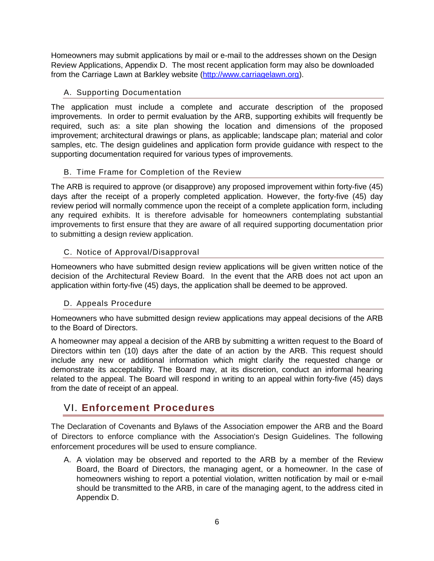Homeowners may submit applications by mail or e-mail to the addresses shown on the Design Review Applications, Appendix D. The most recent application form may also be downloaded from the Carriage Lawn at Barkley website [\(http://www.carriagelawn.org\)](http://www.carriagelawn.org/).

#### <span id="page-5-0"></span>A. Supporting Documentation

The application must include a complete and accurate description of the proposed improvements. In order to permit evaluation by the ARB, supporting exhibits will frequently be required, such as: a site plan showing the location and dimensions of the proposed improvement; architectural drawings or plans, as applicable; landscape plan; material and color samples, etc. The design guidelines and application form provide guidance with respect to the supporting documentation required for various types of improvements.

#### <span id="page-5-1"></span>B. Time Frame for Completion of the Review

The ARB is required to approve (or disapprove) any proposed improvement within forty-five (45) days after the receipt of a properly completed application. However, the forty-five (45) day review period will normally commence upon the receipt of a complete application form, including any required exhibits. It is therefore advisable for homeowners contemplating substantial improvements to first ensure that they are aware of all required supporting documentation prior to submitting a design review application.

#### <span id="page-5-2"></span>C. Notice of Approval/Disapproval

Homeowners who have submitted design review applications will be given written notice of the decision of the Architectural Review Board. In the event that the ARB does not act upon an application within forty-five (45) days, the application shall be deemed to be approved.

#### <span id="page-5-3"></span>D. Appeals Procedure

Homeowners who have submitted design review applications may appeal decisions of the ARB to the Board of Directors.

A homeowner may appeal a decision of the ARB by submitting a written request to the Board of Directors within ten (10) days after the date of an action by the ARB. This request should include any new or additional information which might clarify the requested change or demonstrate its acceptability. The Board may, at its discretion, conduct an informal hearing related to the appeal. The Board will respond in writing to an appeal within forty-five (45) days from the date of receipt of an appeal.

## <span id="page-5-4"></span>VI. **Enforcement Procedures**

The Declaration of Covenants and Bylaws of the Association empower the ARB and the Board of Directors to enforce compliance with the Association's Design Guidelines. The following enforcement procedures will be used to ensure compliance.

A. A violation may be observed and reported to the ARB by a member of the Review Board, the Board of Directors, the managing agent, or a homeowner. In the case of homeowners wishing to report a potential violation, written notification by mail or e-mail should be transmitted to the ARB, in care of the managing agent, to the address cited in Appendix D.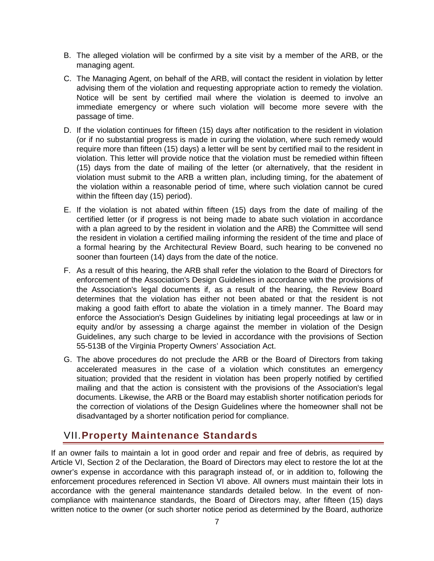- B. The alleged violation will be confirmed by a site visit by a member of the ARB, or the managing agent.
- C. The Managing Agent, on behalf of the ARB, will contact the resident in violation by letter advising them of the violation and requesting appropriate action to remedy the violation. Notice will be sent by certified mail where the violation is deemed to involve an immediate emergency or where such violation will become more severe with the passage of time.
- D. If the violation continues for fifteen (15) days after notification to the resident in violation (or if no substantial progress is made in curing the violation, where such remedy would require more than fifteen (15) days) a letter will be sent by certified mail to the resident in violation. This letter will provide notice that the violation must be remedied within fifteen (15) days from the date of mailing of the letter (or alternatively, that the resident in violation must submit to the ARB a written plan, including timing, for the abatement of the violation within a reasonable period of time, where such violation cannot be cured within the fifteen day (15) period).
- E. If the violation is not abated within fifteen (15) days from the date of mailing of the certified letter (or if progress is not being made to abate such violation in accordance with a plan agreed to by the resident in violation and the ARB) the Committee will send the resident in violation a certified mailing informing the resident of the time and place of a formal hearing by the Architectural Review Board, such hearing to be convened no sooner than fourteen (14) days from the date of the notice.
- F. As a result of this hearing, the ARB shall refer the violation to the Board of Directors for enforcement of the Association's Design Guidelines in accordance with the provisions of the Association's legal documents if, as a result of the hearing, the Review Board determines that the violation has either not been abated or that the resident is not making a good faith effort to abate the violation in a timely manner. The Board may enforce the Association's Design Guidelines by initiating legal proceedings at law or in equity and/or by assessing a charge against the member in violation of the Design Guidelines, any such charge to be levied in accordance with the provisions of Section 55-513B of the Virginia Property Owners' Association Act.
- G. The above procedures do not preclude the ARB or the Board of Directors from taking accelerated measures in the case of a violation which constitutes an emergency situation; provided that the resident in violation has been properly notified by certified mailing and that the action is consistent with the provisions of the Association's legal documents. Likewise, the ARB or the Board may establish shorter notification periods for the correction of violations of the Design Guidelines where the homeowner shall not be disadvantaged by a shorter notification period for compliance.

## <span id="page-6-0"></span>VII.**Property Maintenance Standards**

If an owner fails to maintain a lot in good order and repair and free of debris, as required by Article VI, Section 2 of the Declaration, the Board of Directors may elect to restore the lot at the owner's expense in accordance with this paragraph instead of, or in addition to, following the enforcement procedures referenced in Section VI above. All owners must maintain their lots in accordance with the general maintenance standards detailed below. In the event of noncompliance with maintenance standards, the Board of Directors may, after fifteen (15) days written notice to the owner (or such shorter notice period as determined by the Board, authorize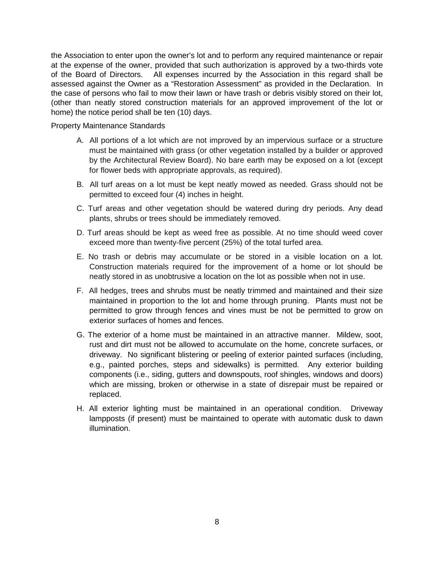the Association to enter upon the owner's lot and to perform any required maintenance or repair at the expense of the owner, provided that such authorization is approved by a two-thirds vote of the Board of Directors. All expenses incurred by the Association in this regard shall be assessed against the Owner as a "Restoration Assessment" as provided in the Declaration. In the case of persons who fail to mow their lawn or have trash or debris visibly stored on their lot, (other than neatly stored construction materials for an approved improvement of the lot or home) the notice period shall be ten (10) days.

Property Maintenance Standards

- A. All portions of a lot which are not improved by an impervious surface or a structure must be maintained with grass (or other vegetation installed by a builder or approved by the Architectural Review Board). No bare earth may be exposed on a lot (except for flower beds with appropriate approvals, as required).
- B. All turf areas on a lot must be kept neatly mowed as needed. Grass should not be permitted to exceed four (4) inches in height.
- C. Turf areas and other vegetation should be watered during dry periods. Any dead plants, shrubs or trees should be immediately removed.
- D. Turf areas should be kept as weed free as possible. At no time should weed cover exceed more than twenty-five percent (25%) of the total turfed area.
- E. No trash or debris may accumulate or be stored in a visible location on a lot. Construction materials required for the improvement of a home or lot should be neatly stored in as unobtrusive a location on the lot as possible when not in use.
- F. All hedges, trees and shrubs must be neatly trimmed and maintained and their size maintained in proportion to the lot and home through pruning. Plants must not be permitted to grow through fences and vines must be not be permitted to grow on exterior surfaces of homes and fences.
- G. The exterior of a home must be maintained in an attractive manner. Mildew, soot, rust and dirt must not be allowed to accumulate on the home, concrete surfaces, or driveway. No significant blistering or peeling of exterior painted surfaces (including, e.g., painted porches, steps and sidewalks) is permitted. Any exterior building components (i.e., siding, gutters and downspouts, roof shingles, windows and doors) which are missing, broken or otherwise in a state of disrepair must be repaired or replaced.
- H. All exterior lighting must be maintained in an operational condition. Driveway lampposts (if present) must be maintained to operate with automatic dusk to dawn illumination.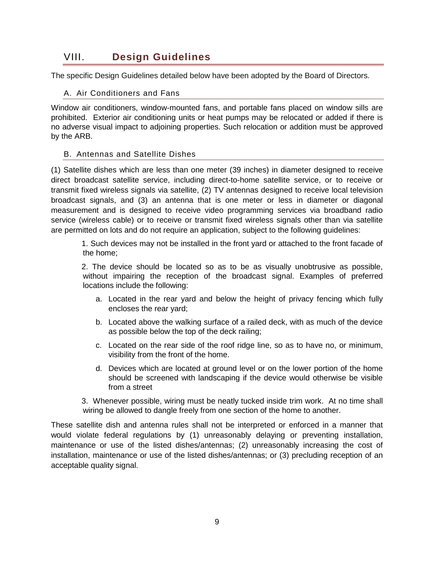## <span id="page-8-0"></span>VIII. **Design Guidelines**

<span id="page-8-1"></span>The specific Design Guidelines detailed below have been adopted by the Board of Directors.

#### A. Air Conditioners and Fans

Window air conditioners, window-mounted fans, and portable fans placed on window sills are prohibited. Exterior air conditioning units or heat pumps may be relocated or added if there is no adverse visual impact to adjoining properties. Such relocation or addition must be approved by the ARB.

#### <span id="page-8-2"></span>B. Antennas and Satellite Dishes

(1) Satellite dishes which are less than one meter (39 inches) in diameter designed to receive direct broadcast satellite service, including direct-to-home satellite service, or to receive or transmit fixed wireless signals via satellite, (2) TV antennas designed to receive local television broadcast signals, and (3) an antenna that is one meter or less in diameter or diagonal measurement and is designed to receive video programming services via broadband radio service (wireless cable) or to receive or transmit fixed wireless signals other than via satellite are permitted on lots and do not require an application, subject to the following guidelines:

1. Such devices may not be installed in the front yard or attached to the front facade of the home;

2. The device should be located so as to be as visually unobtrusive as possible, without impairing the reception of the broadcast signal. Examples of preferred locations include the following:

- a. Located in the rear yard and below the height of privacy fencing which fully encloses the rear yard;
- b. Located above the walking surface of a railed deck, with as much of the device as possible below the top of the deck railing;
- c. Located on the rear side of the roof ridge line, so as to have no, or minimum, visibility from the front of the home.
- d. Devices which are located at ground level or on the lower portion of the home should be screened with landscaping if the device would otherwise be visible from a street

3. Whenever possible, wiring must be neatly tucked inside trim work. At no time shall wiring be allowed to dangle freely from one section of the home to another.

These satellite dish and antenna rules shall not be interpreted or enforced in a manner that would violate federal regulations by (1) unreasonably delaying or preventing installation, maintenance or use of the listed dishes/antennas; (2) unreasonably increasing the cost of installation, maintenance or use of the listed dishes/antennas; or (3) precluding reception of an acceptable quality signal.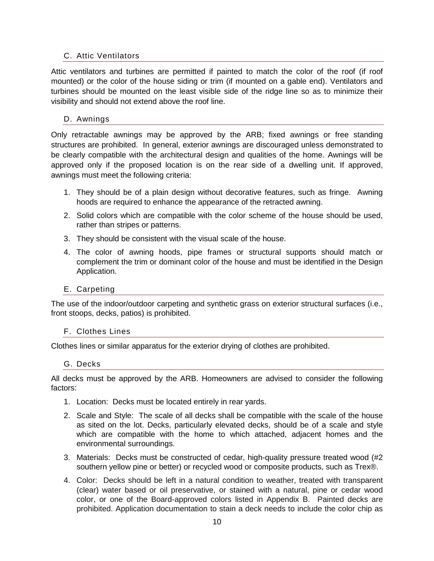#### <span id="page-9-0"></span>C. Attic Ventilators

Attic ventilators and turbines are permitted if painted to match the color of the roof (if roof mounted) or the color of the house siding or trim (if mounted on a gable end). Ventilators and turbines should be mounted on the least visible side of the ridge line so as to minimize their visibility and should not extend above the roof line.

#### <span id="page-9-1"></span>D. Awnings

Only retractable awnings may be approved by the ARB; fixed awnings or free standing structures are prohibited. In general, exterior awnings are discouraged unless demonstrated to be clearly compatible with the architectural design and qualities of the home. Awnings will be approved only if the proposed location is on the rear side of a dwelling unit. If approved, awnings must meet the following criteria:

- 1. They should be of a plain design without decorative features, such as fringe. Awning hoods are required to enhance the appearance of the retracted awning.
- 2. Solid colors which are compatible with the color scheme of the house should be used, rather than stripes or patterns.
- 3. They should be consistent with the visual scale of the house.
- 4. The color of awning hoods, pipe frames or structural supports should match or complement the trim or dominant color of the house and must be identified in the Design Application.

#### <span id="page-9-2"></span>E. Carpeting

The use of the indoor/outdoor carpeting and synthetic grass on exterior structural surfaces (i.e., front stoops, decks, patios) is prohibited.

#### <span id="page-9-3"></span>F. Clothes Lines

<span id="page-9-4"></span>Clothes lines or similar apparatus for the exterior drying of clothes are prohibited.

#### G. Decks

All decks must be approved by the ARB. Homeowners are advised to consider the following factors:

- 1. Location: Decks must be located entirely in rear yards.
- 2. Scale and Style: The scale of all decks shall be compatible with the scale of the house as sited on the lot. Decks, particularly elevated decks, should be of a scale and style which are compatible with the home to which attached, adjacent homes and the environmental surroundings.
- 3. Materials: Decks must be constructed of cedar, high-quality pressure treated wood (#2 southern yellow pine or better) or recycled wood or composite products, such as Trex®.
- 4. Color: Decks should be left in a natural condition to weather, treated with transparent (clear) water based or oil preservative, or stained with a natural, pine or cedar wood color, or one of the Board-approved colors listed in Appendix B. Painted decks are prohibited. Application documentation to stain a deck needs to include the color chip as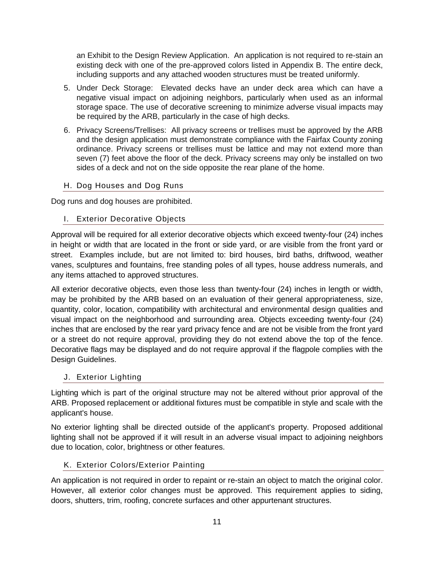an Exhibit to the Design Review Application. An application is not required to re-stain an existing deck with one of the pre-approved colors listed in Appendix B. The entire deck, including supports and any attached wooden structures must be treated uniformly.

- 5. Under Deck Storage: Elevated decks have an under deck area which can have a negative visual impact on adjoining neighbors, particularly when used as an informal storage space. The use of decorative screening to minimize adverse visual impacts may be required by the ARB, particularly in the case of high decks.
- 6. Privacy Screens/Trellises: All privacy screens or trellises must be approved by the ARB and the design application must demonstrate compliance with the Fairfax County zoning ordinance. Privacy screens or trellises must be lattice and may not extend more than seven (7) feet above the floor of the deck. Privacy screens may only be installed on two sides of a deck and not on the side opposite the rear plane of the home.
- <span id="page-10-0"></span>H. Dog Houses and Dog Runs

<span id="page-10-1"></span>Dog runs and dog houses are prohibited.

I. Exterior Decorative Objects

Approval will be required for all exterior decorative objects which exceed twenty-four (24) inches in height or width that are located in the front or side yard, or are visible from the front yard or street. Examples include, but are not limited to: bird houses, bird baths, driftwood, weather vanes, sculptures and fountains, free standing poles of all types, house address numerals, and any items attached to approved structures.

All exterior decorative objects, even those less than twenty-four (24) inches in length or width, may be prohibited by the ARB based on an evaluation of their general appropriateness, size, quantity, color, location, compatibility with architectural and environmental design qualities and visual impact on the neighborhood and surrounding area. Objects exceeding twenty-four (24) inches that are enclosed by the rear yard privacy fence and are not be visible from the front yard or a street do not require approval, providing they do not extend above the top of the fence. Decorative flags may be displayed and do not require approval if the flagpole complies with the Design Guidelines.

#### <span id="page-10-2"></span>J. Exterior Lighting

Lighting which is part of the original structure may not be altered without prior approval of the ARB. Proposed replacement or additional fixtures must be compatible in style and scale with the applicant's house.

No exterior lighting shall be directed outside of the applicant's property. Proposed additional lighting shall not be approved if it will result in an adverse visual impact to adjoining neighbors due to location, color, brightness or other features.

#### <span id="page-10-3"></span>K. Exterior Colors/Exterior Painting

An application is not required in order to repaint or re-stain an object to match the original color. However, all exterior color changes must be approved. This requirement applies to siding, doors, shutters, trim, roofing, concrete surfaces and other appurtenant structures.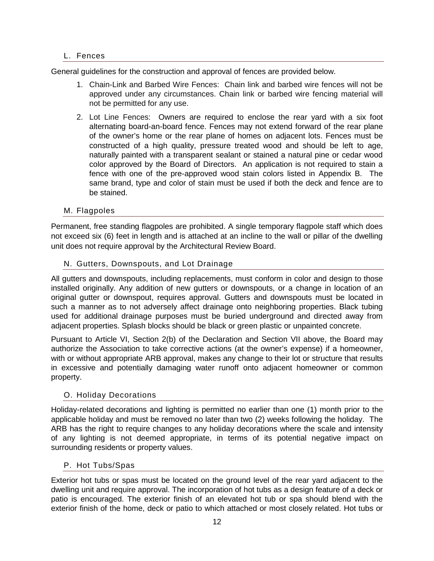#### <span id="page-11-0"></span>L. Fences

General guidelines for the construction and approval of fences are provided below.

- 1. Chain-Link and Barbed Wire Fences: Chain link and barbed wire fences will not be approved under any circumstances. Chain link or barbed wire fencing material will not be permitted for any use.
- 2. Lot Line Fences: Owners are required to enclose the rear yard with a six foot alternating board-an-board fence. Fences may not extend forward of the rear plane of the owner's home or the rear plane of homes on adjacent lots. Fences must be constructed of a high quality, pressure treated wood and should be left to age, naturally painted with a transparent sealant or stained a natural pine or cedar wood color approved by the Board of Directors. An application is not required to stain a fence with one of the pre-approved wood stain colors listed in Appendix B. The same brand, type and color of stain must be used if both the deck and fence are to be stained.

#### <span id="page-11-1"></span>M. Flagpoles

Permanent, free standing flagpoles are prohibited. A single temporary flagpole staff which does not exceed six (6) feet in length and is attached at an incline to the wall or pillar of the dwelling unit does not require approval by the Architectural Review Board.

#### <span id="page-11-2"></span>N. Gutters, Downspouts, and Lot Drainage

All gutters and downspouts, including replacements, must conform in color and design to those installed originally. Any addition of new gutters or downspouts, or a change in location of an original gutter or downspout, requires approval. Gutters and downspouts must be located in such a manner as to not adversely affect drainage onto neighboring properties. Black tubing used for additional drainage purposes must be buried underground and directed away from adjacent properties. Splash blocks should be black or green plastic or unpainted concrete.

Pursuant to Article VI, Section 2(b) of the Declaration and Section VII above, the Board may authorize the Association to take corrective actions (at the owner's expense) if a homeowner, with or without appropriate ARB approval, makes any change to their lot or structure that results in excessive and potentially damaging water runoff onto adjacent homeowner or common property.

#### <span id="page-11-3"></span>O. Holiday Decorations

Holiday-related decorations and lighting is permitted no earlier than one (1) month prior to the applicable holiday and must be removed no later than two (2) weeks following the holiday. The ARB has the right to require changes to any holiday decorations where the scale and intensity of any lighting is not deemed appropriate, in terms of its potential negative impact on surrounding residents or property values.

#### <span id="page-11-4"></span>P. Hot Tubs/Spas

Exterior hot tubs or spas must be located on the ground level of the rear yard adjacent to the dwelling unit and require approval. The incorporation of hot tubs as a design feature of a deck or patio is encouraged. The exterior finish of an elevated hot tub or spa should blend with the exterior finish of the home, deck or patio to which attached or most closely related. Hot tubs or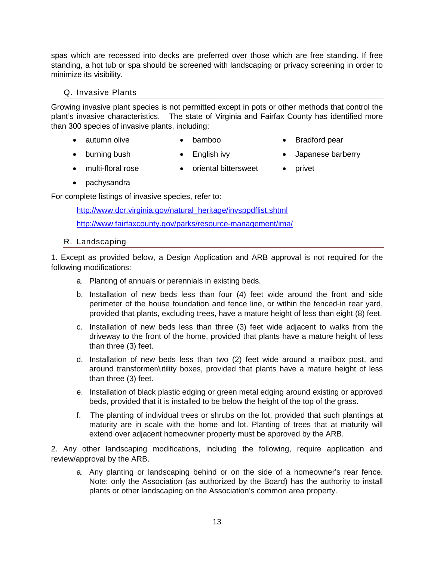spas which are recessed into decks are preferred over those which are free standing. If free standing, a hot tub or spa should be screened with landscaping or privacy screening in order to minimize its visibility.

#### <span id="page-12-0"></span>Q. Invasive Plants

Growing invasive plant species is not permitted except in pots or other methods that control the plant's invasive characteristics. The state of Virginia and Fairfax County has identified more than 300 species of invasive plants, including:

- autumn olive bamboo Bradford pear
- 
- burning bush English ivy Japanese barberry
- 
- 
- multi-floral rose oriental bittersweet privet
- 

• pachysandra

For complete listings of invasive species, refer to:

[http://www.dcr.virginia.gov/natural\\_heritage/invsppdflist.shtml](http://www.dcr.virginia.gov/natural_heritage/invsppdflist.shtml) <http://www.fairfaxcounty.gov/parks/resource-management/ima/>

#### <span id="page-12-1"></span>R. Landscaping

1. Except as provided below, a Design Application and ARB approval is not required for the following modifications:

- a. Planting of annuals or perennials in existing beds.
- b. Installation of new beds less than four (4) feet wide around the front and side perimeter of the house foundation and fence line, or within the fenced-in rear yard, provided that plants, excluding trees, have a mature height of less than eight (8) feet.
- c. Installation of new beds less than three (3) feet wide adjacent to walks from the driveway to the front of the home, provided that plants have a mature height of less than three (3) feet.
- d. Installation of new beds less than two (2) feet wide around a mailbox post, and around transformer/utility boxes, provided that plants have a mature height of less than three (3) feet.
- e. Installation of black plastic edging or green metal edging around existing or approved beds, provided that it is installed to be below the height of the top of the grass.
- f. The planting of individual trees or shrubs on the lot, provided that such plantings at maturity are in scale with the home and lot. Planting of trees that at maturity will extend over adjacent homeowner property must be approved by the ARB.

2. Any other landscaping modifications, including the following, require application and review/approval by the ARB.

a. Any planting or landscaping behind or on the side of a homeowner's rear fence. Note: only the Association (as authorized by the Board) has the authority to install plants or other landscaping on the Association's common area property.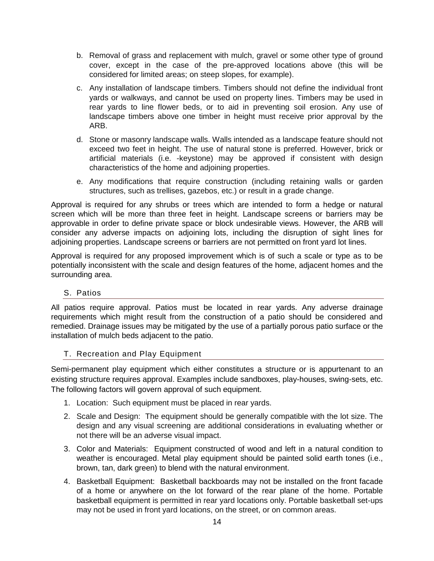- b. Removal of grass and replacement with mulch, gravel or some other type of ground cover, except in the case of the pre-approved locations above (this will be considered for limited areas; on steep slopes, for example).
- c. Any installation of landscape timbers. Timbers should not define the individual front yards or walkways, and cannot be used on property lines. Timbers may be used in rear yards to line flower beds, or to aid in preventing soil erosion. Any use of landscape timbers above one timber in height must receive prior approval by the ARB.
- d. Stone or masonry landscape walls. Walls intended as a landscape feature should not exceed two feet in height. The use of natural stone is preferred. However, brick or artificial materials (i.e. -keystone) may be approved if consistent with design characteristics of the home and adjoining properties.
- e. Any modifications that require construction (including retaining walls or garden structures, such as trellises, gazebos, etc.) or result in a grade change.

Approval is required for any shrubs or trees which are intended to form a hedge or natural screen which will be more than three feet in height. Landscape screens or barriers may be approvable in order to define private space or block undesirable views. However, the ARB will consider any adverse impacts on adjoining lots, including the disruption of sight lines for adjoining properties. Landscape screens or barriers are not permitted on front yard lot lines.

Approval is required for any proposed improvement which is of such a scale or type as to be potentially inconsistent with the scale and design features of the home, adjacent homes and the surrounding area.

#### <span id="page-13-0"></span>S. Patios

All patios require approval. Patios must be located in rear yards. Any adverse drainage requirements which might result from the construction of a patio should be considered and remedied. Drainage issues may be mitigated by the use of a partially porous patio surface or the installation of mulch beds adjacent to the patio.

#### <span id="page-13-1"></span>T. Recreation and Play Equipment

Semi-permanent play equipment which either constitutes a structure or is appurtenant to an existing structure requires approval. Examples include sandboxes, play-houses, swing-sets, etc. The following factors will govern approval of such equipment.

- 1. Location: Such equipment must be placed in rear yards.
- 2. Scale and Design: The equipment should be generally compatible with the lot size. The design and any visual screening are additional considerations in evaluating whether or not there will be an adverse visual impact.
- 3. Color and Materials: Equipment constructed of wood and left in a natural condition to weather is encouraged. Metal play equipment should be painted solid earth tones (i.e., brown, tan, dark green) to blend with the natural environment.
- 4. Basketball Equipment: Basketball backboards may not be installed on the front facade of a home or anywhere on the lot forward of the rear plane of the home. Portable basketball equipment is permitted in rear yard locations only. Portable basketball set-ups may not be used in front yard locations, on the street, or on common areas.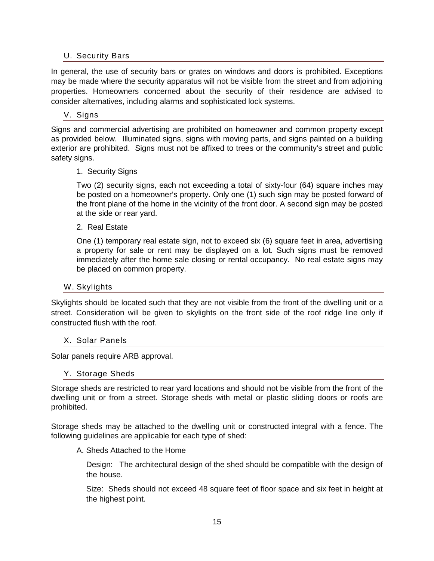#### <span id="page-14-0"></span>U. Security Bars

In general, the use of security bars or grates on windows and doors is prohibited. Exceptions may be made where the security apparatus will not be visible from the street and from adjoining properties. Homeowners concerned about the security of their residence are advised to consider alternatives, including alarms and sophisticated lock systems.

#### <span id="page-14-1"></span>V. Signs

Signs and commercial advertising are prohibited on homeowner and common property except as provided below. Illuminated signs, signs with moving parts, and signs painted on a building exterior are prohibited. Signs must not be affixed to trees or the community's street and public safety signs.

#### 1. Security Signs

Two (2) security signs, each not exceeding a total of sixty-four (64) square inches may be posted on a homeowner's property. Only one (1) such sign may be posted forward of the front plane of the home in the vicinity of the front door. A second sign may be posted at the side or rear yard.

2. Real Estate

One (1) temporary real estate sign, not to exceed six (6) square feet in area, advertising a property for sale or rent may be displayed on a lot. Such signs must be removed immediately after the home sale closing or rental occupancy. No real estate signs may be placed on common property.

#### <span id="page-14-2"></span>W. Skylights

Skylights should be located such that they are not visible from the front of the dwelling unit or a street. Consideration will be given to skylights on the front side of the roof ridge line only if constructed flush with the roof.

#### <span id="page-14-3"></span>X. Solar Panels

<span id="page-14-4"></span>Solar panels require ARB approval.

#### Y. Storage Sheds

Storage sheds are restricted to rear yard locations and should not be visible from the front of the dwelling unit or from a street. Storage sheds with metal or plastic sliding doors or roofs are prohibited.

Storage sheds may be attached to the dwelling unit or constructed integral with a fence. The following guidelines are applicable for each type of shed:

#### A. Sheds Attached to the Home

Design: The architectural design of the shed should be compatible with the design of the house.

Size: Sheds should not exceed 48 square feet of floor space and six feet in height at the highest point.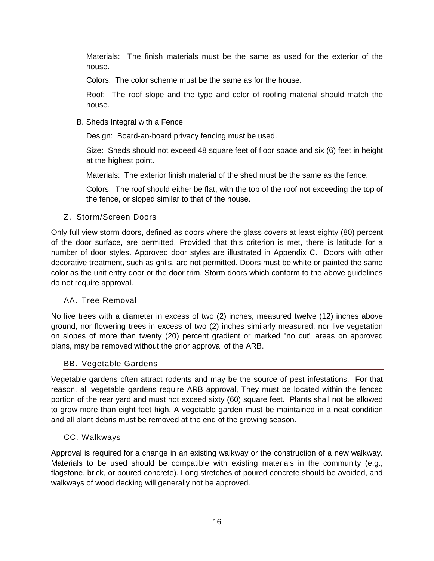Materials: The finish materials must be the same as used for the exterior of the house.

Colors: The color scheme must be the same as for the house.

Roof: The roof slope and the type and color of roofing material should match the house.

B. Sheds Integral with a Fence

Design: Board-an-board privacy fencing must be used.

Size: Sheds should not exceed 48 square feet of floor space and six (6) feet in height at the highest point.

Materials: The exterior finish material of the shed must be the same as the fence.

Colors: The roof should either be flat, with the top of the roof not exceeding the top of the fence, or sloped similar to that of the house.

#### <span id="page-15-0"></span>Z. Storm/Screen Doors

Only full view storm doors, defined as doors where the glass covers at least eighty (80) percent of the door surface, are permitted. Provided that this criterion is met, there is latitude for a number of door styles. Approved door styles are illustrated in Appendix C. Doors with other decorative treatment, such as grills, are not permitted. Doors must be white or painted the same color as the unit entry door or the door trim. Storm doors which conform to the above guidelines do not require approval.

#### <span id="page-15-1"></span>AA. Tree Removal

No live trees with a diameter in excess of two (2) inches, measured twelve (12) inches above ground, nor flowering trees in excess of two (2) inches similarly measured, nor live vegetation on slopes of more than twenty (20) percent gradient or marked "no cut" areas on approved plans, may be removed without the prior approval of the ARB.

#### <span id="page-15-2"></span>BB. Vegetable Gardens

Vegetable gardens often attract rodents and may be the source of pest infestations. For that reason, all vegetable gardens require ARB approval, They must be located within the fenced portion of the rear yard and must not exceed sixty (60) square feet. Plants shall not be allowed to grow more than eight feet high. A vegetable garden must be maintained in a neat condition and all plant debris must be removed at the end of the growing season.

#### <span id="page-15-3"></span>CC. Walkways

Approval is required for a change in an existing walkway or the construction of a new walkway. Materials to be used should be compatible with existing materials in the community (e.g., flagstone, brick, or poured concrete). Long stretches of poured concrete should be avoided, and walkways of wood decking will generally not be approved.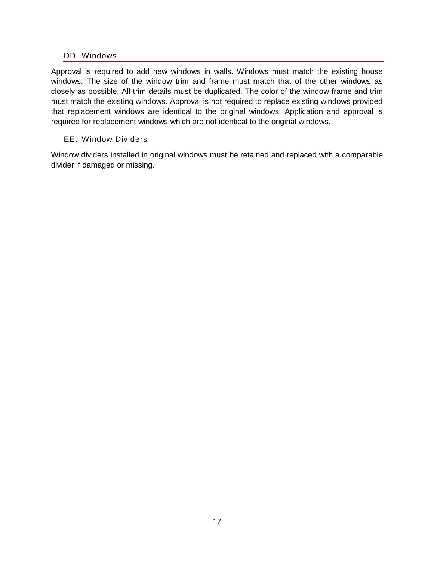#### <span id="page-16-0"></span>DD. Windows

Approval is required to add new windows in walls. Windows must match the existing house windows. The size of the window trim and frame must match that of the other windows as closely as possible. All trim details must be duplicated. The color of the window frame and trim must match the existing windows. Approval is not required to replace existing windows provided that replacement windows are identical to the original windows. Application and approval is required for replacement windows which are not identical to the original windows.

#### <span id="page-16-1"></span>EE. Window Dividers

Window dividers installed in original windows must be retained and replaced with a comparable divider if damaged or missing.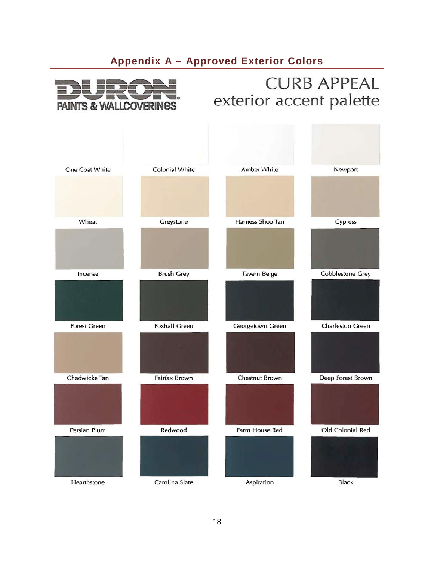## **Appendix A – Approved Exterior Colors**

<span id="page-17-0"></span>

## **CURB APPEAL** exterior accent palette

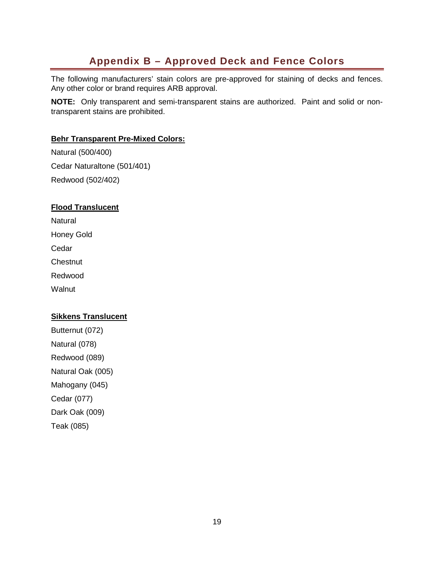## **Appendix B – Approved Deck and Fence Colors**

<span id="page-18-0"></span>The following manufacturers' stain colors are pre-approved for staining of decks and fences. Any other color or brand requires ARB approval.

**NOTE:** Only transparent and semi-transparent stains are authorized. Paint and solid or nontransparent stains are prohibited.

#### **Behr Transparent Pre-Mixed Colors:**

Natural (500/400) Cedar Naturaltone (501/401) Redwood (502/402)

#### **Flood Translucent**

**Natural** 

Honey Gold

**Cedar** 

**Chestnut** 

Redwood

**Walnut** 

#### **Sikkens Translucent**

Butternut (072) Natural (078) Redwood (089) Natural Oak (005) Mahogany (045) Cedar (077) Dark Oak (009) Teak (085)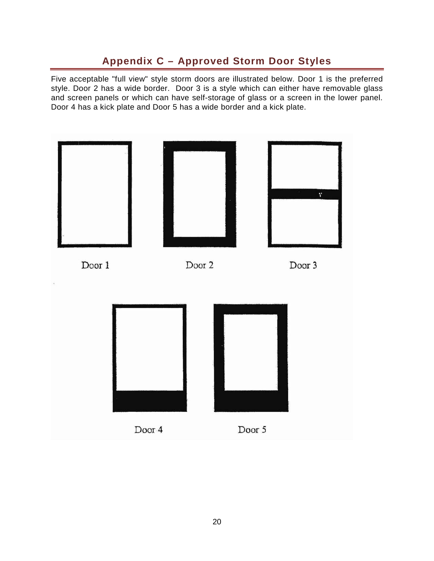## **Appendix C – Approved Storm Door Styles**

<span id="page-19-0"></span>Five acceptable "full view" style storm doors are illustrated below. Door 1 is the preferred style. Door 2 has a wide border. Door 3 is a style which can either have removable glass and screen panels or which can have self-storage of glass or a screen in the lower panel. Door 4 has a kick plate and Door 5 has a wide border and a kick plate.

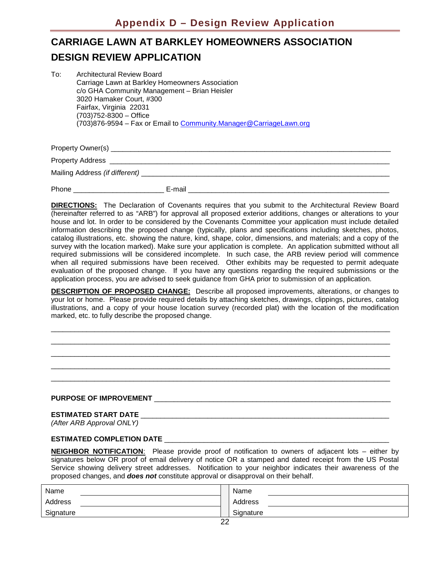## <span id="page-20-0"></span>**CARRIAGE LAWN AT BARKLEY HOMEOWNERS ASSOCIATION DESIGN REVIEW APPLICATION**

| To: | <b>Architectural Review Board</b>                                  |
|-----|--------------------------------------------------------------------|
|     | Carriage Lawn at Barkley Homeowners Association                    |
|     | c/o GHA Community Management - Brian Heisler                       |
|     | 3020 Hamaker Court, #300                                           |
|     | Fairfax, Virginia 22031                                            |
|     | $(703)752 - 8300 -$ Office                                         |
|     | (703)876-9594 - Fax or Email to Community.Manager@CarriageLawn.org |

Property Owner(s) example of the state of the state of the state of the state of the state of the state of the state of the state of the state of the state of the state of the state of the state of the state of the state o

Property Address **Executive Address** and the set of the set of the set of the set of the set of the set of the set of the set of the set of the set of the set of the set of the set of the set of the set of the set of the s Mailing Address *(if different)* 

Phone \_\_\_\_\_\_\_\_\_\_\_\_\_\_\_\_\_\_\_\_\_\_\_ E-mail \_\_\_\_\_\_\_\_\_\_\_\_\_\_\_\_\_\_\_\_\_\_\_\_\_\_\_\_\_\_\_\_\_\_\_\_\_\_\_\_\_\_\_\_\_\_\_\_\_\_\_

**DIRECTIONS:** The Declaration of Covenants requires that you submit to the Architectural Review Board (hereinafter referred to as "ARB") for approval all proposed exterior additions, changes or alterations to your house and lot. In order to be considered by the Covenants Committee your application must include detailed information describing the proposed change (typically, plans and specifications including sketches, photos, catalog illustrations, etc. showing the nature, kind, shape, color, dimensions, and materials; and a copy of the survey with the location marked). Make sure your application is complete. An application submitted without all required submissions will be considered incomplete. In such case, the ARB review period will commence when all required submissions have been received. Other exhibits may be requested to permit adequate evaluation of the proposed change. If you have any questions regarding the required submissions or the application process, you are advised to seek guidance from GHA prior to submission of an application.

**DESCRIPTION OF PROPOSED CHANGE:** Describe all proposed improvements, alterations, or changes to your lot or home. Please provide required details by attaching sketches, drawings, clippings, pictures, catalog illustrations, and a copy of your house location survey (recorded plat) with the location of the modification marked, etc. to fully describe the proposed change.

\_\_\_\_\_\_\_\_\_\_\_\_\_\_\_\_\_\_\_\_\_\_\_\_\_\_\_\_\_\_\_\_\_\_\_\_\_\_\_\_\_\_\_\_\_\_\_\_\_\_\_\_\_\_\_\_\_\_\_\_\_\_\_\_\_\_\_\_\_\_\_\_\_\_\_\_\_\_\_\_\_\_\_\_\_\_ \_\_\_\_\_\_\_\_\_\_\_\_\_\_\_\_\_\_\_\_\_\_\_\_\_\_\_\_\_\_\_\_\_\_\_\_\_\_\_\_\_\_\_\_\_\_\_\_\_\_\_\_\_\_\_\_\_\_\_\_\_\_\_\_\_\_\_\_\_\_\_\_\_\_\_\_\_\_\_\_\_\_\_\_\_\_ \_\_\_\_\_\_\_\_\_\_\_\_\_\_\_\_\_\_\_\_\_\_\_\_\_\_\_\_\_\_\_\_\_\_\_\_\_\_\_\_\_\_\_\_\_\_\_\_\_\_\_\_\_\_\_\_\_\_\_\_\_\_\_\_\_\_\_\_\_\_\_\_\_\_\_\_\_\_\_\_\_\_\_\_\_\_ \_\_\_\_\_\_\_\_\_\_\_\_\_\_\_\_\_\_\_\_\_\_\_\_\_\_\_\_\_\_\_\_\_\_\_\_\_\_\_\_\_\_\_\_\_\_\_\_\_\_\_\_\_\_\_\_\_\_\_\_\_\_\_\_\_\_\_\_\_\_\_\_\_\_\_\_\_\_\_\_\_\_\_\_\_\_ \_\_\_\_\_\_\_\_\_\_\_\_\_\_\_\_\_\_\_\_\_\_\_\_\_\_\_\_\_\_\_\_\_\_\_\_\_\_\_\_\_\_\_\_\_\_\_\_\_\_\_\_\_\_\_\_\_\_\_\_\_\_\_\_\_\_\_\_\_\_\_\_\_\_\_\_\_\_\_\_\_\_\_\_\_\_

#### **PURPOSE OF IMPROVEMENT** \_\_\_\_\_\_\_\_\_\_\_\_\_\_\_\_\_\_\_\_\_\_\_\_\_\_\_\_\_\_\_\_\_\_\_\_\_\_\_\_\_\_\_\_\_\_\_\_\_\_\_\_\_\_\_\_\_\_\_\_

#### **ESTIMATED START DATE** \_\_\_\_\_\_\_\_\_\_\_\_\_\_\_\_\_\_\_\_\_\_\_\_\_\_\_\_\_\_\_\_\_\_\_\_\_\_\_\_\_\_\_\_\_\_\_\_\_\_\_\_\_\_\_\_\_\_\_\_\_\_\_

*(After ARB Approval ONLY)*

#### **ESTIMATED COMPLETION DATE** \_\_\_\_\_\_\_\_\_\_\_\_\_\_\_\_\_\_\_\_\_\_\_\_\_\_\_\_\_\_\_\_\_\_\_\_\_\_\_\_\_\_\_\_\_\_\_\_\_\_\_\_\_\_\_\_\_

**NEIGHBOR NOTIFICATION**: Please provide proof of notification to owners of adjacent lots – either by signatures below OR proof of email delivery of notice OR a stamped and dated receipt from the US Postal Service showing delivery street addresses. Notification to your neighbor indicates their awareness of the proposed changes, and *does not* constitute approval or disapproval on their behalf.

| Name      |               | Name      |
|-----------|---------------|-----------|
| Address   |               | Address   |
| Signature |               | Signature |
|           | $\sim$ $\sim$ |           |